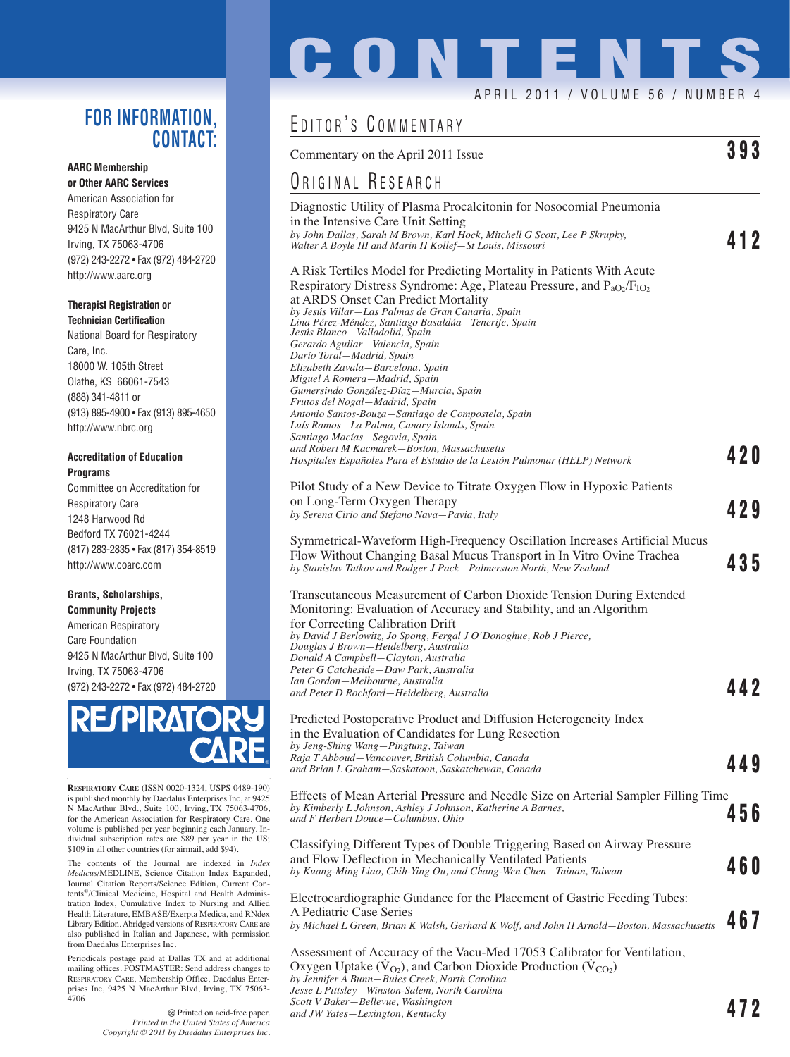## **FOR INFORMATION, CONTACT:**

#### **AARC Membership or Other AARC Services**

American Association for Respiratory Care 9425 N MacArthur Blvd, Suite 100 Irving, TX 75063-4706 (972) 243-2272 • Fax (972) 484-2720 http://www.aarc.org

### **Therapist Registration or Technician Certification**

National Board for Respiratory Care, Inc. 18000 W. 105th Street Olathe, KS 66061-7543 (888) 341-4811 or (913) 895-4900 • Fax (913) 895-4650 http://www.nbrc.org

### **Accreditation of Education Programs**

Committee on Accreditation for Respiratory Care 1248 Harwood Rd Bedford TX 76021-4244 (817) 283-2835 • Fax (817) 354-8519 http://www.coarc.com

### **Grants, Scholarships, Community Projects**

American Respiratory Care Foundation 9425 N MacArthur Blvd, Suite 100 Irving, TX 75063-4706 (972) 243-2272 • Fax (972) 484-2720



**RESPIRATORY CARE** (ISSN 0020-1324, USPS 0489-190) is published monthly by Daedalus Enterprises Inc, at 9425 N MacArthur Blvd., Suite 100, Irving, TX 75063-4706, for the American Association for Respiratory Care. One volume is published per year beginning each January. In-dividual subscription rates are \$89 per year in the US; \$109 in all other countries (for airmail, add \$94).

The contents of the Journal are indexed in *Index Medicus*/MEDLINE, Science Citation Index Expanded, Journal Citation Reports/Science Edition, Current Contents®/Clinical Medicine, Hospital and Health Administration Index, Cumulative Index to Nursing and Allied Health Literature, EMBASE/Exerpta Medica, and RNdex Library Edition. Abridged versions of RESPIRATORY CARE are also published in Italian and Japanese, with permission from Daedalus Enterprises Inc.

Periodicals postage paid at Dallas TX and at additional mailing offices. POSTMASTER: Send address changes to RESPIRATORY CARE, Membership Office, Daedalus Enterprises Inc, 9425 N MacArthur Blvd, Irving, TX 75063- 4706

# **CONTENTS**

### APRIL 2011 / VOLUME 56 / NUMBER 4

## EDITOR'S COMMENTARY

*Jesse L Pittsley—Winston-Salem, North Carolina*

*Scott V Baker—Bellevue, Washington*

| Commentary on the April 2011 Issue                                                                                                                                                                                                                                                                                                                                                                                                                                                                                                                                                                                                                                                                                                                                                                                                   | 393   |
|--------------------------------------------------------------------------------------------------------------------------------------------------------------------------------------------------------------------------------------------------------------------------------------------------------------------------------------------------------------------------------------------------------------------------------------------------------------------------------------------------------------------------------------------------------------------------------------------------------------------------------------------------------------------------------------------------------------------------------------------------------------------------------------------------------------------------------------|-------|
| ORIGINAL RESEARCH                                                                                                                                                                                                                                                                                                                                                                                                                                                                                                                                                                                                                                                                                                                                                                                                                    |       |
| Diagnostic Utility of Plasma Procalcitonin for Nosocomial Pneumonia<br>in the Intensive Care Unit Setting<br>by John Dallas, Sarah M Brown, Karl Hock, Mitchell G Scott, Lee P Skrupky,<br>Walter A Boyle III and Marin H Kollef—St Louis, Missouri                                                                                                                                                                                                                                                                                                                                                                                                                                                                                                                                                                                  | 412   |
| A Risk Tertiles Model for Predicting Mortality in Patients With Acute<br>Respiratory Distress Syndrome: Age, Plateau Pressure, and $P_{aO_2}/F_{IO_2}$<br>at ARDS Onset Can Predict Mortality<br>by Jesús Villar—Las Palmas de Gran Canaria, Spain<br>Lina Pérez-Méndez, Santiago Basaldúa—Tenerife, Spain<br>Jesús Blanco-Valladolid, Spain<br>Gerardo Aguilar - Valencia, Spain<br>Darío Toral—Madrid, Spain<br>Elizabeth Zavala-Barcelona, Spain<br>Miguel A Romera—Madrid, Spain<br>Gumersindo González-Díaz - Murcia, Spain<br>Frutos del Nogal-Madrid, Spain<br>Antonio Santos-Bouza—Santiago de Compostela, Spain<br>Luís Ramos—La Palma, Canary Islands, Spain<br>Santiago Macías-Segovia, Spain<br>and Robert M Kacmarek-Boston, Massachusetts<br>Hospitales Españoles Para el Estudio de la Lesión Pulmonar (HELP) Network | 4 2 O |
| Pilot Study of a New Device to Titrate Oxygen Flow in Hypoxic Patients<br>on Long-Term Oxygen Therapy<br>by Serena Cirio and Stefano Nava-Pavia, Italy                                                                                                                                                                                                                                                                                                                                                                                                                                                                                                                                                                                                                                                                               | 429   |
| Symmetrical-Waveform High-Frequency Oscillation Increases Artificial Mucus<br>Flow Without Changing Basal Mucus Transport in In Vitro Ovine Trachea<br>by Stanislav Tatkov and Rodger J Pack-Palmerston North, New Zealand                                                                                                                                                                                                                                                                                                                                                                                                                                                                                                                                                                                                           | 435   |
| Transcutaneous Measurement of Carbon Dioxide Tension During Extended<br>Monitoring: Evaluation of Accuracy and Stability, and an Algorithm<br>for Correcting Calibration Drift<br>by David J Berlowitz, Jo Spong, Fergal J O'Donoghue, Rob J Pierce,<br>Douglas J Brown—Heidelberg, Australia<br>Donald A Campbell-Clayton, Australia<br>Peter G Catcheside - Daw Park, Australia<br>Ian Gordon-Melbourne, Australia<br>and Peter D Rochford-Heidelberg, Australia                                                                                                                                                                                                                                                                                                                                                                   | 442   |
| Predicted Postoperative Product and Diffusion Heterogeneity Index<br>in the Evaluation of Candidates for Lung Resection<br>by Jeng-Shing Wang-Pingtung, Taiwan<br>Raja T Abboud-Vancouver, British Columbia, Canada<br>and Brian L Graham-Saskatoon, Saskatchewan, Canada                                                                                                                                                                                                                                                                                                                                                                                                                                                                                                                                                            | 449   |
| Effects of Mean Arterial Pressure and Needle Size on Arterial Sampler Filling Time<br>by Kimberly L Johnson, Ashley J Johnson, Katherine A Barnes,<br>and F Herbert Douce-Columbus, Ohio                                                                                                                                                                                                                                                                                                                                                                                                                                                                                                                                                                                                                                             | 456   |
| Classifying Different Types of Double Triggering Based on Airway Pressure<br>and Flow Deflection in Mechanically Ventilated Patients<br>by Kuang-Ming Liao, Chih-Ying Ou, and Chang-Wen Chen-Tainan, Taiwan                                                                                                                                                                                                                                                                                                                                                                                                                                                                                                                                                                                                                          | 460   |
| Electrocardiographic Guidance for the Placement of Gastric Feeding Tubes:<br>A Pediatric Case Series<br>by Michael L Green, Brian K Walsh, Gerhard K Wolf, and John H Arnold-Boston, Massachusetts                                                                                                                                                                                                                                                                                                                                                                                                                                                                                                                                                                                                                                   | 467   |
| Assessment of Accuracy of the Vacu-Med 17053 Calibrator for Ventilation,<br>Oxygen Uptake $(\dot{V}_{Q_2})$ , and Carbon Dioxide Production $(\dot{V}_{CO_2})$<br>by Jennifer A Bunn-Buies Creek, North Carolina                                                                                                                                                                                                                                                                                                                                                                                                                                                                                                                                                                                                                     |       |

*and JW Yates—Lexington, Kentucky* **472**